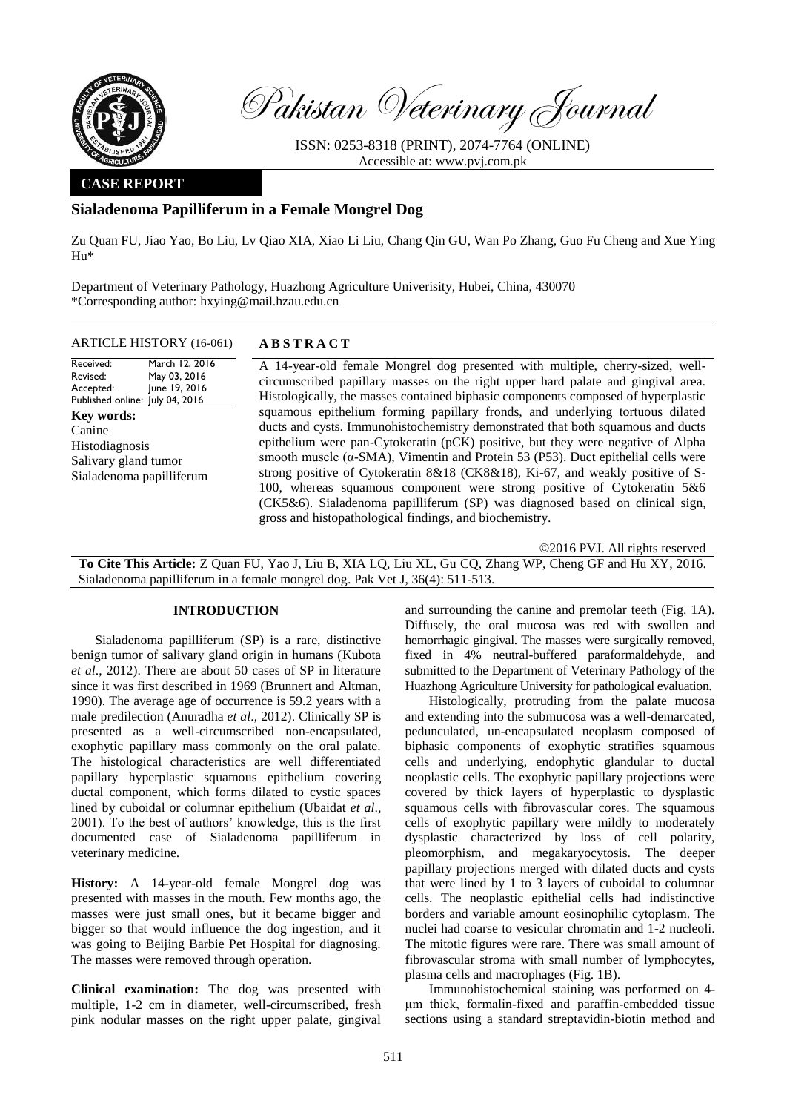

Pakistan Veterinary Journal

ISSN: 0253-8318 (PRINT), 2074-7764 (ONLINE) Accessible at: [www.pvj.com.pk](http://www.pvj.com.pk/)

## **CASE REPORT**

# **Sialadenoma Papilliferum in a Female Mongrel Dog**

Zu Quan FU, Jiao Yao, Bo Liu, Lv Qiao XIA, Xiao Li Liu, Chang Qin GU, Wan Po Zhang, Guo Fu Cheng and Xue Ying Hu\*

Department of Veterinary Pathology, Huazhong Agriculture Univerisity, Hubei, China, 430070 \*Corresponding author: hxying@mail.hzau.edu.cn

## ARTICLE HISTORY (16-061) **A B S T R A C T**

Received: Revised: Accepted: Published online: July 04, 2016 March 12, 2016 May 03, 2016 June 19, 2016 **Key words:**  Canine Histodiagnosis Salivary gland tumor Sialadenoma papilliferum

A 14-year-old female Mongrel dog presented with multiple, cherry-sized, wellcircumscribed papillary masses on the right upper hard palate and gingival area. Histologically, the masses contained biphasic components composed of hyperplastic squamous epithelium forming papillary fronds, and underlying tortuous dilated ducts and cysts. Immunohistochemistry demonstrated that both squamous and ducts epithelium were pan-Cytokeratin (pCK) positive, but they were negative of Alpha smooth muscle ( $\alpha$ -SMA), Vimentin and Protein 53 (P53). Duct epithelial cells were strong positive of Cytokeratin 8&18 (CK8&18), Ki-67, and weakly positive of S-100, whereas squamous component were strong positive of Cytokeratin 5&6 (CK5&6). Sialadenoma papilliferum (SP) was diagnosed based on clinical sign, gross and histopathological findings, and biochemistry.

©2016 PVJ. All rights reserved **To Cite This Article:** Z Quan FU, Yao J, Liu B, XIA LQ, Liu XL, Gu CQ, Zhang WP, Cheng GF and Hu XY, 2016. Sialadenoma papilliferum in a female mongrel dog. Pak Vet J, 36(4): 511-513.

#### **INTRODUCTION**

Sialadenoma papilliferum (SP) is a rare, distinctive benign tumor of salivary gland origin in humans (Kubota *et al*., 2012). There are about 50 cases of SP in literature since it was first described in 1969 (Brunnert and Altman, 1990). The average age of occurrence is 59.2 years with a male predilection (Anuradha *et al*., 2012). Clinically SP is presented as a well-circumscribed non-encapsulated, exophytic papillary mass commonly on the oral palate. The histological characteristics are well differentiated papillary hyperplastic squamous epithelium covering ductal component, which forms dilated to cystic spaces lined by cuboidal or columnar epithelium (Ubaidat *et al*., 2001). To the best of authors' knowledge, this is the first documented case of Sialadenoma papilliferum in veterinary medicine.

**History:** A 14-year-old female Mongrel dog was presented with masses in the mouth. Few months ago, the masses were just small ones, but it became bigger and bigger so that would influence the dog ingestion, and it was going to Beijing Barbie Pet Hospital for diagnosing. The masses were removed through operation.

**Clinical examination:** The dog was presented with multiple, 1-2 cm in diameter, well-circumscribed, fresh pink nodular masses on the right upper palate, gingival

and surrounding the canine and premolar teeth (Fig. 1A). Diffusely, the oral mucosa was red with swollen and hemorrhagic gingival. The masses were surgically removed, fixed in 4% neutral-buffered paraformaldehyde, and submitted to the Department of Veterinary Pathology of the Huazhong Agriculture University for pathological evaluation.

Histologically, protruding from the palate mucosa and extending into the submucosa was a well-demarcated, pedunculated, un-encapsulated neoplasm composed of biphasic components of exophytic stratifies squamous cells and underlying, endophytic glandular to ductal neoplastic cells. The exophytic papillary projections were covered by thick layers of hyperplastic to dysplastic squamous cells with fibrovascular cores. The squamous cells of exophytic papillary were mildly to moderately dysplastic characterized by loss of cell polarity, pleomorphism, and megakaryocytosis. The deeper papillary projections merged with dilated ducts and cysts that were lined by 1 to 3 layers of cuboidal to columnar cells. The neoplastic epithelial cells had indistinctive borders and variable amount eosinophilic cytoplasm. The nuclei had coarse to vesicular chromatin and 1-2 nucleoli. The mitotic figures were rare. There was small amount of fibrovascular stroma with small number of lymphocytes, plasma cells and macrophages (Fig. 1B).

Immunohistochemical staining was performed on 4 μm thick, formalin-fixed and paraffin-embedded tissue sections using a standard streptavidin-biotin method and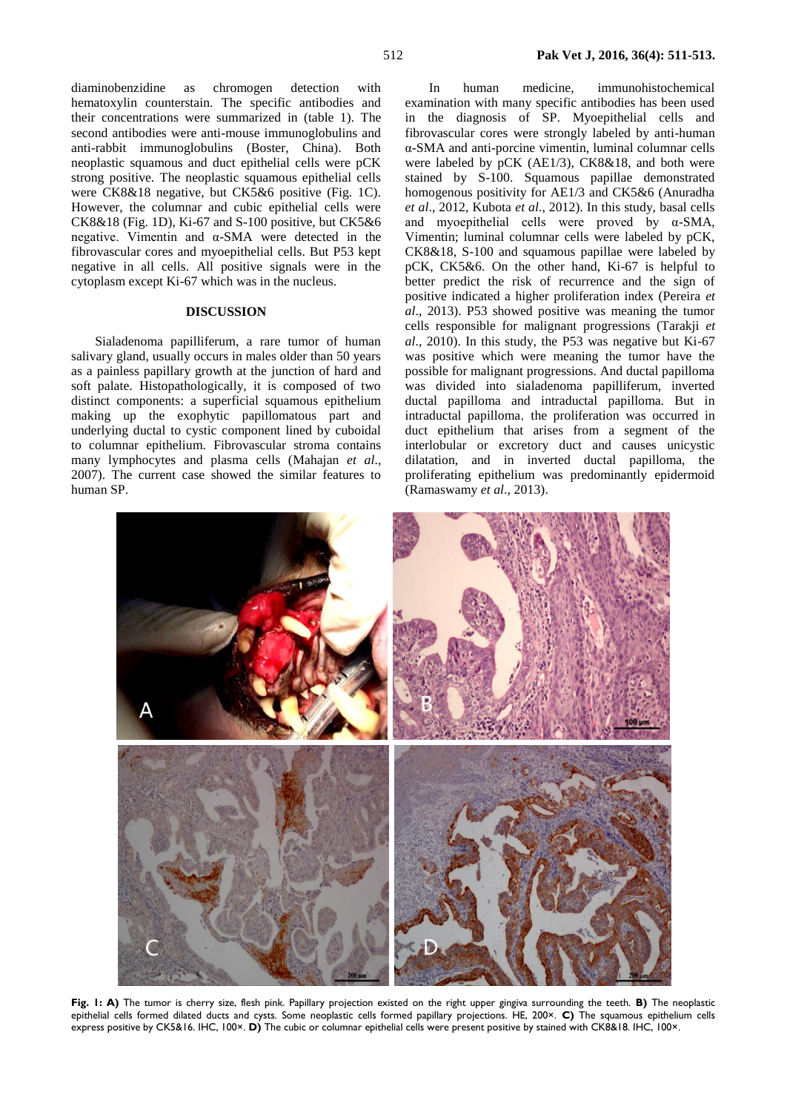diaminobenzidine as chromogen detection with hematoxylin counterstain. The specific antibodies and their concentrations were summarized in (table 1). The second antibodies were anti-mouse immunoglobulins and anti-rabbit immunoglobulins (Boster, China). Both neoplastic squamous and duct epithelial cells were pCK strong positive. The neoplastic squamous epithelial cells were CK8&18 negative, but CK5&6 positive (Fig. 1C). However, the columnar and cubic epithelial cells were CK8&18 (Fig. 1D), Ki-67 and S-100 positive, but CK5&6 negative. Vimentin and α-SMA were detected in the fibrovascular cores and myoepithelial cells. But P53 kept negative in all cells. All positive signals were in the cytoplasm except Ki-67 which was in the nucleus.

### **DISCUSSION**

Sialadenoma papilliferum, a rare tumor of human salivary gland, usually occurs in males older than 50 years as a painless papillary growth at the junction of hard and soft palate. Histopathologically, it is composed of two distinct components: a superficial squamous epithelium making up the exophytic papillomatous part and underlying ductal to cystic component lined by cuboidal to columnar epithelium. Fibrovascular stroma contains many lymphocytes and plasma cells (Mahajan *et al*., 2007). The current case showed the similar features to human SP.

In human medicine, immunohistochemical examination with many specific antibodies has been used in the diagnosis of SP. Myoepithelial cells and fibrovascular cores were strongly labeled by anti-human α-SMA and anti-porcine vimentin, luminal columnar cells were labeled by pCK (AE1/3), CK8&18, and both were stained by S-100. Squamous papillae demonstrated homogenous positivity for AE1/3 and CK5&6 (Anuradha *et al*., 2012, Kubota *et al*., 2012). In this study, basal cells and myoepithelial cells were proved by α-SMA, Vimentin; luminal columnar cells were labeled by pCK, CK8&18, S-100 and squamous papillae were labeled by pCK, CK5&6. On the other hand, Ki-67 is helpful to better predict the risk of recurrence and the sign of positive indicated a higher proliferation index (Pereira *et al*., 2013). P53 showed positive was meaning the tumor cells responsible for malignant progressions (Tarakji *et al*., 2010). In this study, the P53 was negative but Ki-67 was positive which were meaning the tumor have the possible for malignant progressions. And ductal papilloma was divided into sialadenoma papilliferum, inverted ductal papilloma and intraductal papilloma. But in intraductal papilloma, the proliferation was occurred in duct epithelium that arises from a segment of the interlobular or excretory duct and causes unicystic dilatation, and in inverted ductal papilloma, the proliferating epithelium was predominantly epidermoid (Ramaswamy *et al*., 2013).



**Fig. 1: A)** The tumor is cherry size, flesh pink. Papillary projection existed on the right upper gingiva surrounding the teeth. **B)** The neoplastic epithelial cells formed dilated ducts and cysts. Some neoplastic cells formed papillary projections. HE, 200×. **C)** The squamous epithelium cells express positive by CK5&16. IHC, 100×. **D)** The cubic or columnar epithelial cells were present positive by stained with CK8&18. IHC, 100×.